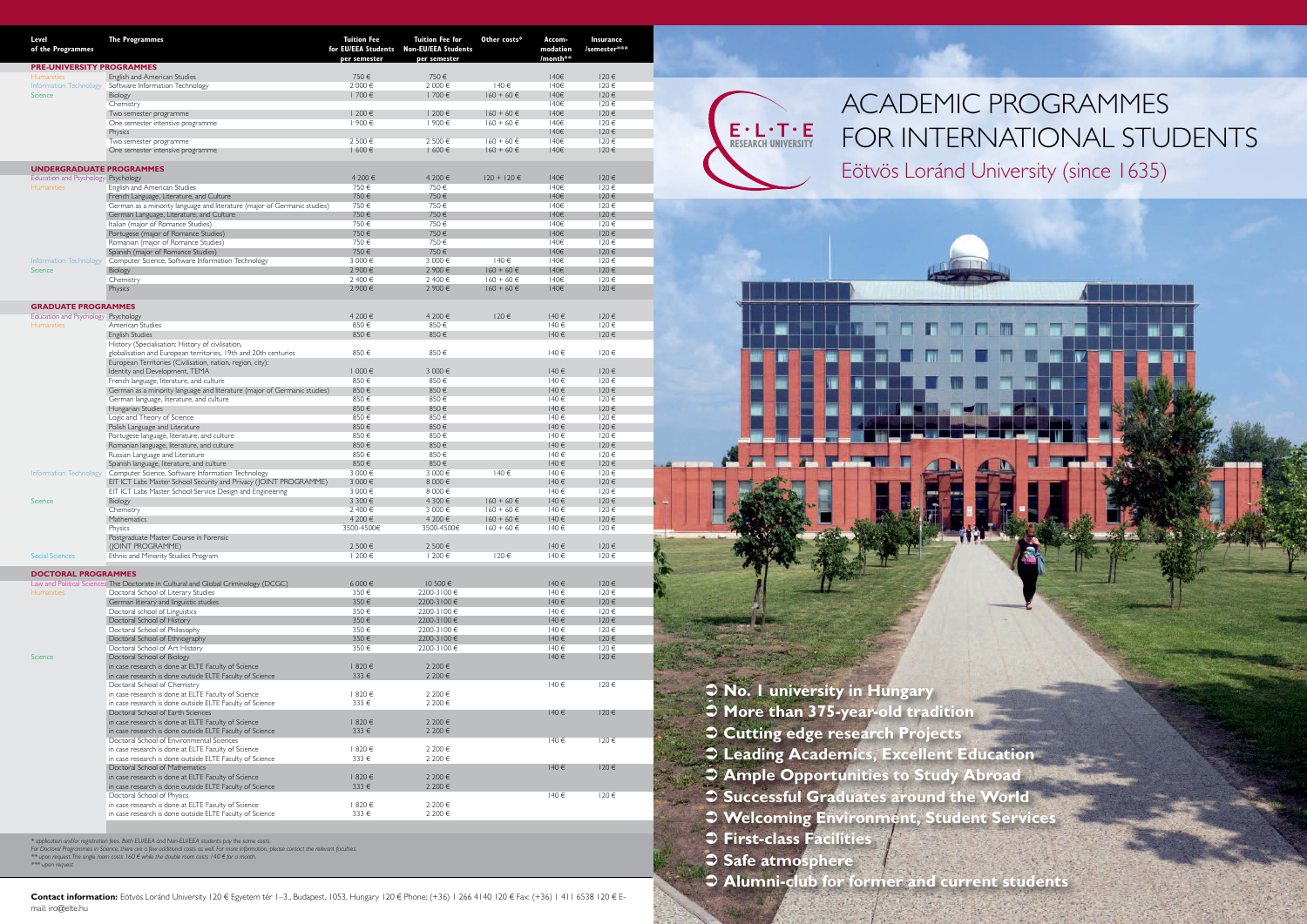**No. 1 university in Hungary** 

- **More than 375-year-old tradition**
- **Cutting edge research Projects**
- **Leading Academics, Excellent Education**
- **Ample Opportunities to Study Abroad**
- **Successful Graduates around the World**
- **Welcoming Environment, Student Services**
- **First-class Facilities**
- **Safe atmosphere**
- **Alumni-club for former and current students**



| Level<br>of the Programmes                             | <b>The Programmes</b>                                                                                                  | <b>Tuition Fee</b><br>for EU/EEA Students<br>per semester | <b>Tuition Fee for</b><br><b>Non-EU/EEA Students</b><br>per semester | Other costs*                     | Accom-<br>modation<br>/month** | Insurance<br>/semester*** |
|--------------------------------------------------------|------------------------------------------------------------------------------------------------------------------------|-----------------------------------------------------------|----------------------------------------------------------------------|----------------------------------|--------------------------------|---------------------------|
| <b>PRE-UNIVERSITY PROGRAMMES</b>                       |                                                                                                                        | 750€                                                      | 750€                                                                 |                                  | 140€                           | $120 \in$                 |
| <b>Humanities</b><br>Information Technology<br>Science | English and American Studies<br>Software Information Technology                                                        | 2 000 €                                                   | 2 000 €                                                              | 140€                             | 140€                           | $120 \in$                 |
|                                                        | Biology                                                                                                                | 1700€                                                     | 1700€                                                                | $160 + 60 \in$                   | 140€                           | 120€                      |
|                                                        | Chemistry                                                                                                              |                                                           |                                                                      |                                  | 140€                           | $120 \in$                 |
|                                                        | Two semester programme<br>One semester intensive programme                                                             | 1 200 €<br>1900€                                          | 1 200 €<br>1900€                                                     | $160 + 60 \in$<br>$160 + 60 \in$ | 140€<br>140€                   | 120€<br>120€              |
|                                                        | Physics                                                                                                                |                                                           |                                                                      |                                  | 140€                           | $120 \in$                 |
|                                                        | Two semester programme                                                                                                 | 2 500 €                                                   | 2 500 €                                                              | $160 + 60 \in$                   | 140€                           | 120€                      |
|                                                        | One semester intensive programme                                                                                       | 1600€                                                     | 1600€                                                                | $160 + 60 \in$                   | 140€                           | $120 \in$                 |
| <b>UNDERGRADUATE PROGRAMMES</b>                        |                                                                                                                        |                                                           |                                                                      |                                  |                                |                           |
| Education and Psychology Psychology<br>Humanities      |                                                                                                                        | 4 200 €                                                   | 4 200 €                                                              | $120 + 120 \in$                  | 140€                           | $120 \in$                 |
|                                                        | English and American Studies                                                                                           | 750€                                                      | 750€                                                                 |                                  | 140€                           | $120 \in$                 |
|                                                        | French Language, Literature, and Culture<br>German as a minority language and literature (major of Germanic studies)   | 750€<br>750€                                              | 750€<br>750€                                                         |                                  | 140€<br>140 <sup>€</sup>       | $120 \in$<br>$120 \in$    |
|                                                        | German Language, Literature, and Culture                                                                               | 750€                                                      | 750€                                                                 |                                  | 140€                           | $120 \in$                 |
|                                                        | Italian (major of Romance Studies)                                                                                     | 750€                                                      | 750€                                                                 |                                  | 140€                           | $120 \in$                 |
|                                                        | Portugese (major of Romance Studies)                                                                                   | 750€                                                      | 750€                                                                 |                                  | 140€<br>140€                   | 120€                      |
|                                                        | Romanian (major of Romance Studies)<br>Spanish (major of Romance Studies)                                              | 750€<br>750€                                              | 750€<br>750€                                                         |                                  | 140€                           | $120 \in$<br>120€         |
|                                                        | Information Technology Computer Science, Software Information Technology                                               | 3 000 €                                                   | 3 000 €                                                              | 140€                             | 140€                           | $120 \in$                 |
| Science                                                | Biology                                                                                                                | 2 900€                                                    | 2 900€                                                               | $160 + 60 \in$                   | 140€                           | 120€                      |
|                                                        | Chemistry                                                                                                              | 2 400 €<br>2 900€                                         | 2 400 €<br>2 900€                                                    | $160 + 60 \in$                   | 140€<br>140€                   | $120 \in$<br>120€         |
|                                                        | Physics                                                                                                                |                                                           |                                                                      | $160 + 60 \in$                   |                                |                           |
| <b>GRADUATE PROGRAMMES</b>                             |                                                                                                                        |                                                           |                                                                      |                                  |                                |                           |
| Education and Psychology Psychology                    |                                                                                                                        | 4 200 €                                                   | 4 200 €                                                              | 120€                             | 140€                           | $120 \in$                 |
| <b>Humanities</b>                                      | American Studies<br>English Studies                                                                                    | 850€<br>850€                                              | 850€<br>850€                                                         |                                  | 140€<br>140€                   | $120 \in$<br>120€         |
|                                                        | History (Specialisation: History of civilisation,                                                                      |                                                           |                                                                      |                                  |                                |                           |
|                                                        | globalisation and European territories, 19th and 20th centuries                                                        | 850€                                                      | 850€                                                                 |                                  | 140€                           | $120 \in$                 |
|                                                        | European Territories (Civilisation, nation, region, city):                                                             |                                                           |                                                                      |                                  |                                |                           |
|                                                        | Identity and Development, TEMA<br>French language, literature, and culture                                             | 1 000€<br>850€                                            | 3 000 €<br>850€                                                      |                                  | 140€<br>140€                   | $120 \in$<br>$120 \in$    |
|                                                        | German as a minority language and literature (major of Germanic studies)                                               | 850€                                                      | 850€                                                                 |                                  | 140€                           | 120€                      |
|                                                        | German language, literature, and culture                                                                               | 850€                                                      | 850€                                                                 |                                  | 140€                           | 120€                      |
|                                                        | Hungarian Studies                                                                                                      | 850€                                                      | 850€                                                                 |                                  | 140€                           | $120 \in$                 |
|                                                        | Logic and Theory of Science                                                                                            | 850€                                                      | 850€                                                                 |                                  | 140€                           | $120 \in$                 |
|                                                        | Polish Language and Literature<br>Portugese language, literature, and culture                                          | 850€<br>850€                                              | 850€<br>850€                                                         |                                  | 140€<br>140€                   | 120€<br>$120 \in$         |
|                                                        | Romanian language, literature, and culture                                                                             | 850€                                                      | 850€                                                                 |                                  | 140€                           | $120 \in$                 |
|                                                        | Russian Language and Literature                                                                                        | 850€                                                      | 850€                                                                 |                                  | 140€                           | $120 \in$                 |
|                                                        | Spanish language, literature, and culture                                                                              | 850€                                                      | 850€                                                                 |                                  | 140€                           | $120 \in$                 |
| Information Technology<br>Science                      | Computer Science, Software Information Technology<br>EIT ICT Labs Master School Security and Privacy (JOINT PROGRAMME) | 3 000 €<br>3 000 €                                        | 3 000 €<br>8 000 €                                                   | 140€                             | 140€<br>140€                   | $120 \in$<br>$120 \in$    |
|                                                        | EIT ICT Labs Master School Service Design and Engineering                                                              | 3 000 €                                                   | 8 000 €                                                              |                                  | 140€                           | $120 \in$                 |
|                                                        | Biology                                                                                                                | 3 300 €                                                   | 4 300 €                                                              | $160 + 60 \in$                   | 140€                           | 120€                      |
|                                                        | Chemistry                                                                                                              | 2 400 €                                                   | 3 000 €                                                              | $160 + 60 \in$                   | 140€                           | 120€                      |
|                                                        | Mathematics<br>Physics                                                                                                 | $4200 \in$<br>3500-4500€                                  | 4 200 €<br>3500-4500€                                                | $160 + 60 \in$<br>$160 + 60 \in$ | 140€<br>140€                   | 120€<br>120€              |
|                                                        | Postgraduate Master Course in Forensic                                                                                 |                                                           |                                                                      |                                  |                                |                           |
|                                                        | (JOINT PROGRAMME)                                                                                                      | 2500€                                                     | 2 500 €                                                              |                                  | 140€                           | $120 \in$                 |
| Social Sciences                                        | Ethnic and Minority Studies Program                                                                                    | 1 200 €                                                   | 1 200 €                                                              | 120€                             | 140€                           | 120€                      |
| <b>DOCTORAL PROGRAMMES</b>                             |                                                                                                                        |                                                           |                                                                      |                                  |                                |                           |
| <b>Humanities</b>                                      | Law and Political Sciences The Doctorate in Cultural and Global Criminology (DCGC)                                     | 6 000€                                                    | 10500 €                                                              |                                  | 140€                           | 120€                      |
|                                                        | Doctoral School of Literary Studies                                                                                    | 350€                                                      | 2200-3100€                                                           |                                  | 140€                           | $120 \in$                 |
|                                                        | German literary and linguistic studies<br>Doctoral school of Linguistics                                               | 350€<br>350€                                              | 2200-3100€<br>2200-3100€                                             |                                  | 140€<br>140€                   | 120€<br>$120 \in$         |
|                                                        | Doctoral School of History                                                                                             | 350€                                                      | 2200-3100€                                                           |                                  | 140€                           | 120€                      |
|                                                        | Doctoral School of Philosophy                                                                                          | 350€                                                      | 2200-3100€                                                           |                                  | 140€                           | 120€                      |
|                                                        | Doctoral School of Ethnography                                                                                         | 350€                                                      | 2200-3100€                                                           |                                  | 140€                           | 120€                      |
|                                                        | Doctoral School of Art History                                                                                         | 350€                                                      | 2200-3100€                                                           |                                  | 140€                           | $120 \in$                 |
| Science                                                | Doctoral School of Biology<br>in case research is done at ELTE Faculty of Science                                      | 820€                                                      | 2 200 €                                                              |                                  | $140 \in$                      | 120€                      |
|                                                        | in case research is done outside ELTE Faculty of Science                                                               | 333€                                                      | 2 200 €                                                              |                                  |                                |                           |
|                                                        | Doctoral School of Chemistry                                                                                           |                                                           |                                                                      |                                  | $140 \in$                      | $120 \in$                 |
|                                                        | in case research is done at ELTE Faculty of Science                                                                    | 820€                                                      | 2 200 €                                                              |                                  |                                |                           |
|                                                        | in case research is done outside ELTE Faculty of Science<br>Doctoral School of Earth Sciences                          | 333€                                                      | 2 200 €                                                              |                                  | 140€                           | $120 \in$                 |
|                                                        | in case research is done at ELTE Faculty of Science                                                                    | 1820€                                                     | 2 200 €                                                              |                                  |                                |                           |
|                                                        | in case research is done outside ELTE Faculty of Science                                                               | 333€                                                      | 2 200 €                                                              |                                  |                                |                           |
|                                                        | Doctoral School of Environmental Sciences                                                                              |                                                           |                                                                      |                                  | 140€                           | 120€                      |
|                                                        | in case research is done at ELTE Faculty of Science                                                                    | 820€<br>333€                                              | 2 200 €<br>2 200 €                                                   |                                  |                                |                           |
|                                                        | in case research is done outside ELTE Faculty of Science<br>Doctoral School of Mathematics                             |                                                           |                                                                      |                                  | 140€                           | $120 \in$                 |
|                                                        | in case research is done at ELTE Faculty of Science                                                                    | 820€                                                      | 2 200 €                                                              |                                  |                                |                           |
|                                                        | in case research is done outside ELTE Faculty of Science                                                               | 333€                                                      | 2 200 €                                                              |                                  |                                |                           |
|                                                        | Doctoral School of Physics                                                                                             | 1820€                                                     | 2 200 €                                                              |                                  | 140€                           | 120€                      |
|                                                        | in case research is done at ELTE Faculty of Science<br>in case research is done outside ELTE Faculty of Science        | 333€                                                      | 2 200 €                                                              |                                  |                                |                           |
|                                                        |                                                                                                                        |                                                           |                                                                      |                                  |                                |                           |

\* application and/or registration fees. Both EU/EEA and Non-EU/EEA students pay the same costs.<br>For Doctoral Programmes in Science, there are a few additional costs as well. For more information, please contact the relevan

Contact information: Eötvös Loránd University 120 € Egyetem tér 1-3., Budapest, 1053, Hungary 120 € Phone: (+36) 1 266 4140 120 € Fax: (+36) 1 411 6538 120 € Email: iro@elte.hu



*\*\*\* upon request* 

# ACADEMIC PROGRAMMES FOR INTERNATIONAL STUDENTS Eötvös Loránd University (since 1635)